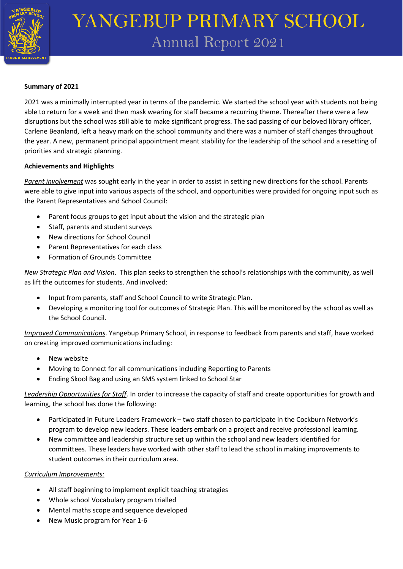

## YANGEBUP PRIMARY SCHOOL **Annual Report 2021**

## **Summary of 2021**

2021 was a minimally interrupted year in terms of the pandemic. We started the school year with students not being able to return for a week and then mask wearing for staff became a recurring theme. Thereafter there were a few disruptions but the school was still able to make significant progress. The sad passing of our beloved library officer, Carlene Beanland, left a heavy mark on the school community and there was a number of staff changes throughout the year. A new, permanent principal appointment meant stability for the leadership of the school and a resetting of priorities and strategic planning.

## **Achievements and Highlights**

*Parent involvement* was sought early in the year in order to assist in setting new directions for the school. Parents were able to give input into various aspects of the school, and opportunities were provided for ongoing input such as the Parent Representatives and School Council:

- Parent focus groups to get input about the vision and the strategic plan
- Staff, parents and student surveys
- New directions for School Council
- Parent Representatives for each class
- Formation of Grounds Committee

*New Strategic Plan and Vision*. This plan seeks to strengthen the school's relationships with the community, as well as lift the outcomes for students. And involved:

- Input from parents, staff and School Council to write Strategic Plan.
- Developing a monitoring tool for outcomes of Strategic Plan. This will be monitored by the school as well as the School Council.

*Improved Communications*. Yangebup Primary School, in response to feedback from parents and staff, have worked on creating improved communications including:

- **New website**
- Moving to Connect for all communications including Reporting to Parents
- Ending Skool Bag and using an SMS system linked to School Star

*Leadership Opportunities for Staff*. In order to increase the capacity of staff and create opportunities for growth and learning, the school has done the following:

- Participated in Future Leaders Framework two staff chosen to participate in the Cockburn Network's program to develop new leaders. These leaders embark on a project and receive professional learning.
- New committee and leadership structure set up within the school and new leaders identified for committees. These leaders have worked with other staff to lead the school in making improvements to student outcomes in their curriculum area.

## *Curriculum Improvements:*

- All staff beginning to implement explicit teaching strategies
- Whole school Vocabulary program trialled
- Mental maths scope and sequence developed
- New Music program for Year 1-6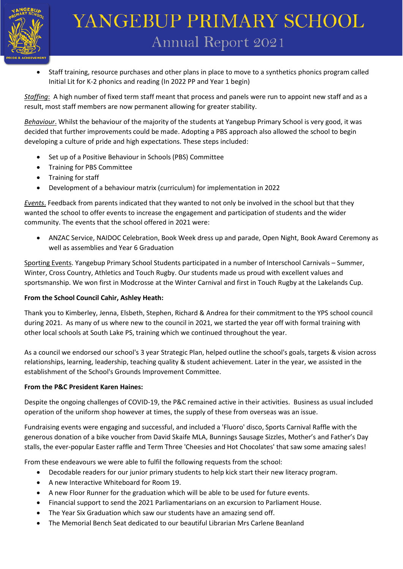

# YANGEBUP PRIMARY SCHOOL **Annual Report 2021**

• Staff training, resource purchases and other plans in place to move to a synthetics phonics program called Initial Lit for K-2 phonics and reading (In 2022 PP and Year 1 begin)

*Staffing*: A high number of fixed term staff meant that process and panels were run to appoint new staff and as a result, most staff members are now permanent allowing for greater stability.

*Behaviour*. Whilst the behaviour of the majority of the students at Yangebup Primary School is very good, it was decided that further improvements could be made. Adopting a PBS approach also allowed the school to begin developing a culture of pride and high expectations. These steps included:

- Set up of a Positive Behaviour in Schools (PBS) Committee
- Training for PBS Committee
- Training for staff
- Development of a behaviour matrix (curriculum) for implementation in 2022

*Events*. Feedback from parents indicated that they wanted to not only be involved in the school but that they wanted the school to offer events to increase the engagement and participation of students and the wider community. The events that the school offered in 2021 were:

• ANZAC Service, NAIDOC Celebration, Book Week dress up and parade, Open Night, Book Award Ceremony as well as assemblies and Year 6 Graduation

Sporting Events. Yangebup Primary School Students participated in a number of Interschool Carnivals – Summer, Winter, Cross Country, Athletics and Touch Rugby. Our students made us proud with excellent values and sportsmanship. We won first in Modcrosse at the Winter Carnival and first in Touch Rugby at the Lakelands Cup.

## **From the School Council Cahir, Ashley Heath:**

Thank you to Kimberley, Jenna, Elsbeth, Stephen, Richard & Andrea for their commitment to the YPS school council during 2021. As many of us where new to the council in 2021, we started the year off with formal training with other local schools at South Lake PS, training which we continued throughout the year.

As a council we endorsed our school's 3 year Strategic Plan, helped outline the school's goals, targets & vision across relationships, learning, leadership, teaching quality & student achievement. Later in the year, we assisted in the establishment of the School's Grounds Improvement Committee.

#### **From the P&C President Karen Haines:**

Despite the ongoing challenges of COVID-19, the P&C remained active in their activities. Business as usual included operation of the uniform shop however at times, the supply of these from overseas was an issue.

Fundraising events were engaging and successful, and included a 'Fluoro' disco, Sports Carnival Raffle with the generous donation of a bike voucher from David Skaife MLA, Bunnings Sausage Sizzles, Mother's and Father's Day stalls, the ever-popular Easter raffle and Term Three 'Cheesies and Hot Chocolates' that saw some amazing sales!

From these endeavours we were able to fulfil the following requests from the school:

- Decodable readers for our junior primary students to help kick start their new literacy program.
- A new Interactive Whiteboard for Room 19.
- A new Floor Runner for the graduation which will be able to be used for future events.
- Financial support to send the 2021 Parliamentarians on an excursion to Parliament House.
- The Year Six Graduation which saw our students have an amazing send off.
- The Memorial Bench Seat dedicated to our beautiful Librarian Mrs Carlene Beanland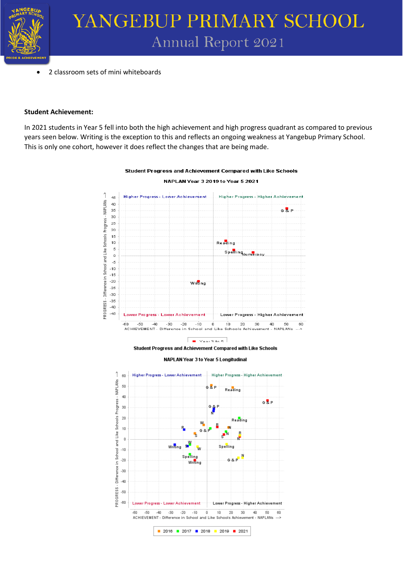

• 2 classroom sets of mini whiteboards

### **Student Achievement:**

In 2021 students in Year 5 fell into both the high achievement and high progress quadrant as compared to previous years seen below. Writing is the exception to this and reflects an ongoing weakness at Yangebup Primary School. This is only one cohort, however it does reflect the changes that are being made.



## Student Progress and Achievement Compared with Like Schools NAPLAN Year 3 2019 to Year 5 2021

 $\frac{1}{2}$  Year 3 to 5 Student Progress and Achievement Compared with Like Schools

NAPLAN Year 3 to Year 5 Longitudinal

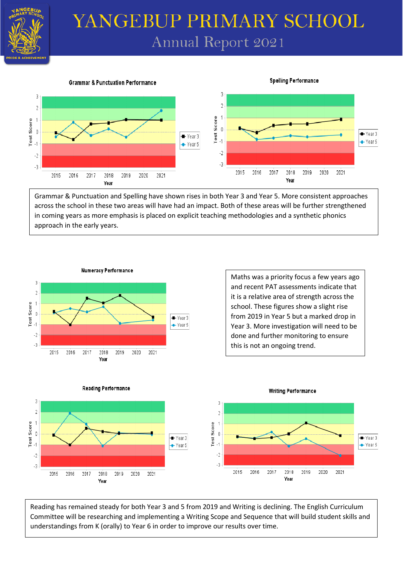

## YANGEBUP PRIMARY SCHOOL **Annual Report 2021**

#### **Grammar & Punctuation Performance**



Grammar & Punctuation and Spelling have shown rises in both Year 3 and Year 5. More consistent approaches across the school in these two areas will have had an impact. Both of these areas will be further strengthened in coming years as more emphasis is placed on explicit teaching methodologies and a synthetic phonics approach in the early years.



Maths was a priority focus a few years ago and recent PAT assessments indicate that it is a relative area of strength across the school. These figures show a slight rise from 2019 in Year 5 but a marked drop in Year 3. More investigation will need to be done and further monitoring to ensure this is not an ongoing trend.

**Spelling Performance** 



Reading has remained steady for both Year 3 and 5 from 2019 and Writing is declining. The English Curriculum Committee will be researching and implementing a Writing Scope and Sequence that will build student skills and understandings from K (orally) to Year 6 in order to improve our results over time.